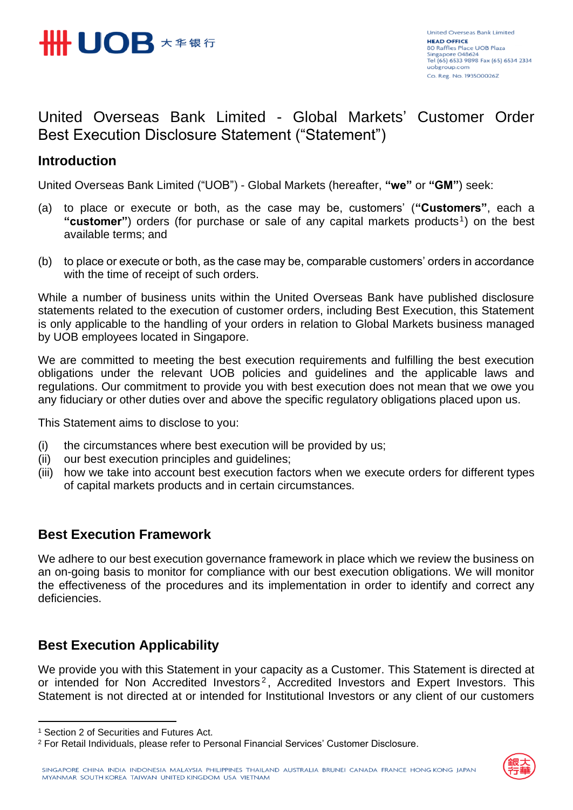

# United Overseas Bank Limited - Global Markets' Customer Order Best Execution Disclosure Statement ("Statement")

# **Introduction**

United Overseas Bank Limited ("UOB") - Global Markets (hereafter, **"we"** or **"GM"**) seek:

- (a) to place or execute or both, as the case may be, customers' (**"Customers"**, each a "customer") orders (for purchase or sale of any capital markets products<sup>1</sup>) on the best available terms; and
- (b) to place or execute or both, as the case may be, comparable customers' orders in accordance with the time of receipt of such orders.

While a number of business units within the United Overseas Bank have published disclosure statements related to the execution of customer orders, including Best Execution, this Statement is only applicable to the handling of your orders in relation to Global Markets business managed by UOB employees located in Singapore.

We are committed to meeting the best execution requirements and fulfilling the best execution obligations under the relevant UOB policies and guidelines and the applicable laws and regulations. Our commitment to provide you with best execution does not mean that we owe you any fiduciary or other duties over and above the specific regulatory obligations placed upon us.

This Statement aims to disclose to you:

- (i) the circumstances where best execution will be provided by us;
- (ii) our best execution principles and guidelines;
- (iii) how we take into account best execution factors when we execute orders for different types of capital markets products and in certain circumstances.

#### **Best Execution Framework**

We adhere to our best execution governance framework in place which we review the business on an on-going basis to monitor for compliance with our best execution obligations. We will monitor the effectiveness of the procedures and its implementation in order to identify and correct any deficiencies.

# **Best Execution Applicability**

We provide you with this Statement in your capacity as a Customer. This Statement is directed at or intended for Non Accredited Investors<sup>2</sup>, Accredited Investors and Expert Investors. This Statement is not directed at or intended for Institutional Investors or any client of our customers



<sup>&</sup>lt;sup>1</sup> Section 2 of Securities and Futures Act.

<sup>2</sup> For Retail Individuals, please refer to Personal Financial Services' Customer Disclosure.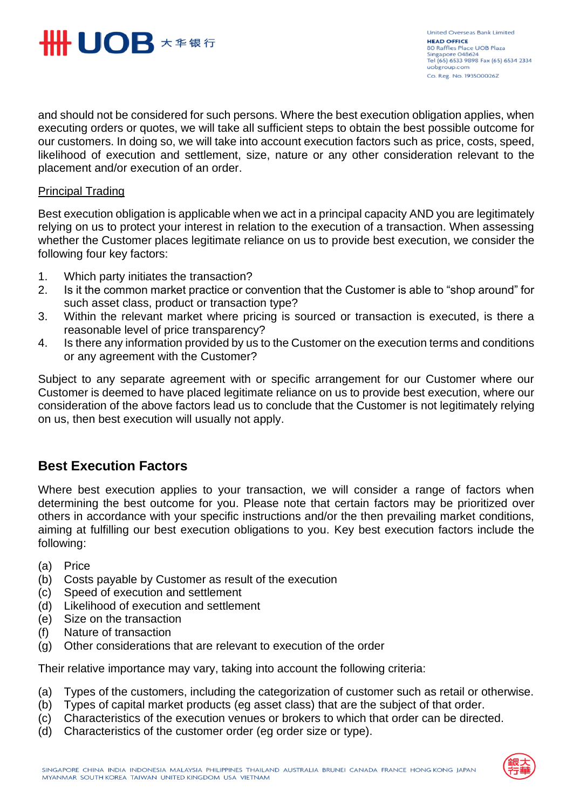

United Overseas Bank Limited **HEAD OFFICE EXAMPLE STATE:**<br>
80 Raffles Place UOB Plaza<br>
Singapore 048624 Tel (65) 6533 9898 Fax (65) 6534 2334 uobgroup.com Co. Reg. No. 193500026Z

and should not be considered for such persons. Where the best execution obligation applies, when executing orders or quotes, we will take all sufficient steps to obtain the best possible outcome for our customers. In doing so, we will take into account execution factors such as price, costs, speed, likelihood of execution and settlement, size, nature or any other consideration relevant to the placement and/or execution of an order.

#### Principal Trading

Best execution obligation is applicable when we act in a principal capacity AND you are legitimately relying on us to protect your interest in relation to the execution of a transaction. When assessing whether the Customer places legitimate reliance on us to provide best execution, we consider the following four key factors:

- 1. Which party initiates the transaction?
- 2. Is it the common market practice or convention that the Customer is able to "shop around" for such asset class, product or transaction type?
- 3. Within the relevant market where pricing is sourced or transaction is executed, is there a reasonable level of price transparency?
- 4. Is there any information provided by us to the Customer on the execution terms and conditions or any agreement with the Customer?

Subject to any separate agreement with or specific arrangement for our Customer where our Customer is deemed to have placed legitimate reliance on us to provide best execution, where our consideration of the above factors lead us to conclude that the Customer is not legitimately relying on us, then best execution will usually not apply.

# **Best Execution Factors**

Where best execution applies to your transaction, we will consider a range of factors when determining the best outcome for you. Please note that certain factors may be prioritized over others in accordance with your specific instructions and/or the then prevailing market conditions, aiming at fulfilling our best execution obligations to you. Key best execution factors include the following:

- (a) Price
- (b) Costs payable by Customer as result of the execution
- (c) Speed of execution and settlement
- (d) Likelihood of execution and settlement
- (e) Size on the transaction
- (f) Nature of transaction
- (g) Other considerations that are relevant to execution of the order

Their relative importance may vary, taking into account the following criteria:

- (a) Types of the customers, including the categorization of customer such as retail or otherwise.
- (b) Types of capital market products (eg asset class) that are the subject of that order.
- (c) Characteristics of the execution venues or brokers to which that order can be directed.
- (d) Characteristics of the customer order (eg order size or type).

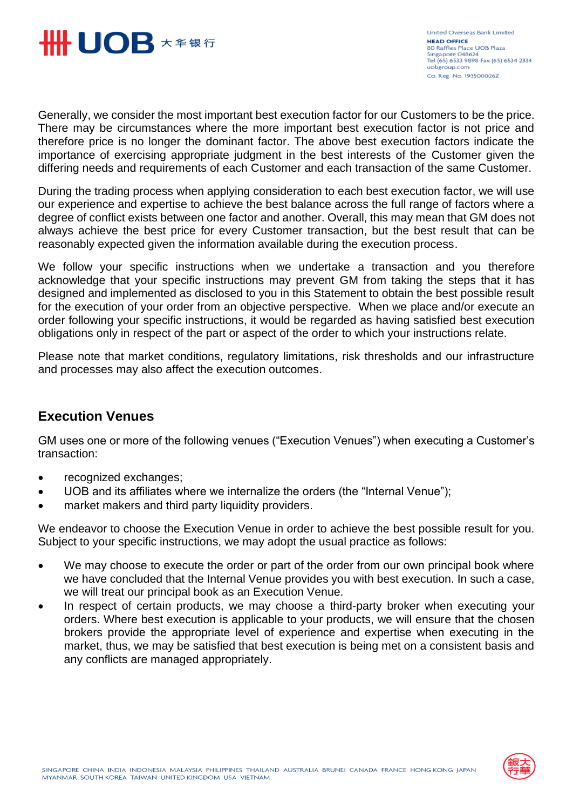

United Overseas Bank Limited **HEAD OFFICE EXAMPLE STATE:**<br>
80 Raffles Place UOB Plaza<br>
Singapore 048624 Tel (65) 6533 9898 Fax (65) 6534 2334 uobgroup.com Co. Reg. No. 193500026Z

Generally, we consider the most important best execution factor for our Customers to be the price. There may be circumstances where the more important best execution factor is not price and therefore price is no longer the dominant factor. The above best execution factors indicate the importance of exercising appropriate judgment in the best interests of the Customer given the differing needs and requirements of each Customer and each transaction of the same Customer.

During the trading process when applying consideration to each best execution factor, we will use our experience and expertise to achieve the best balance across the full range of factors where a degree of conflict exists between one factor and another. Overall, this may mean that GM does not always achieve the best price for every Customer transaction, but the best result that can be reasonably expected given the information available during the execution process.

We follow your specific instructions when we undertake a transaction and you therefore acknowledge that your specific instructions may prevent GM from taking the steps that it has designed and implemented as disclosed to you in this Statement to obtain the best possible result for the execution of your order from an objective perspective. When we place and/or execute an order following your specific instructions, it would be regarded as having satisfied best execution obligations only in respect of the part or aspect of the order to which your instructions relate.

Please note that market conditions, regulatory limitations, risk thresholds and our infrastructure and processes may also affect the execution outcomes.

#### **Execution Venues**

GM uses one or more of the following venues ("Execution Venues") when executing a Customer's transaction:

- recognized exchanges;
- UOB and its affiliates where we internalize the orders (the "Internal Venue");
- market makers and third party liquidity providers.

We endeavor to choose the Execution Venue in order to achieve the best possible result for you. Subject to your specific instructions, we may adopt the usual practice as follows:

- We may choose to execute the order or part of the order from our own principal book where we have concluded that the Internal Venue provides you with best execution. In such a case, we will treat our principal book as an Execution Venue.
- In respect of certain products, we may choose a third-party broker when executing your orders. Where best execution is applicable to your products, we will ensure that the chosen brokers provide the appropriate level of experience and expertise when executing in the market, thus, we may be satisfied that best execution is being met on a consistent basis and any conflicts are managed appropriately.